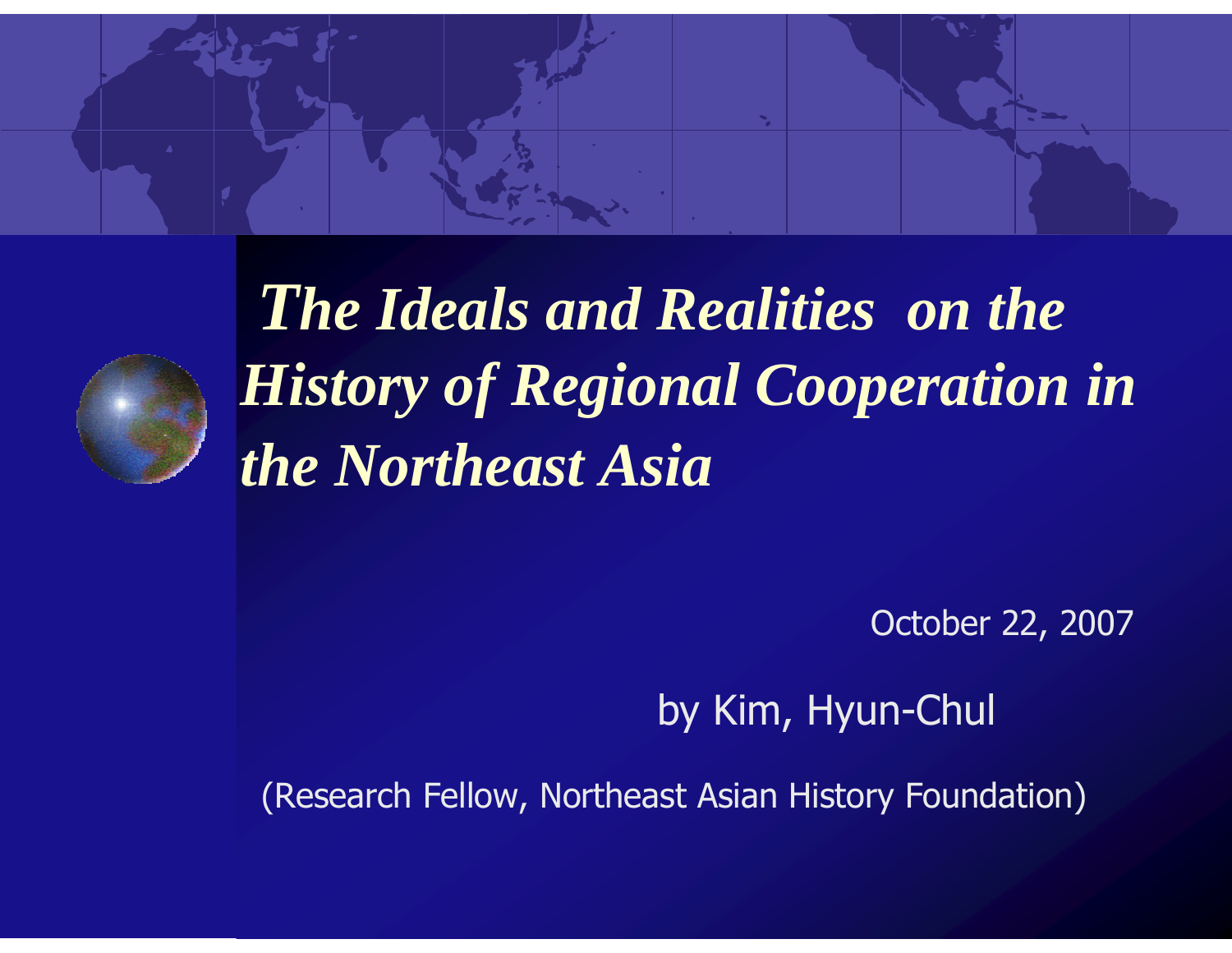



*The Ideals and Realities on the History of Regional Cooperation in the Northeast Asia*

October 22, 2007

by Kim, Hyun-Chul

(Research Fellow, Northeast Asian History Foundation)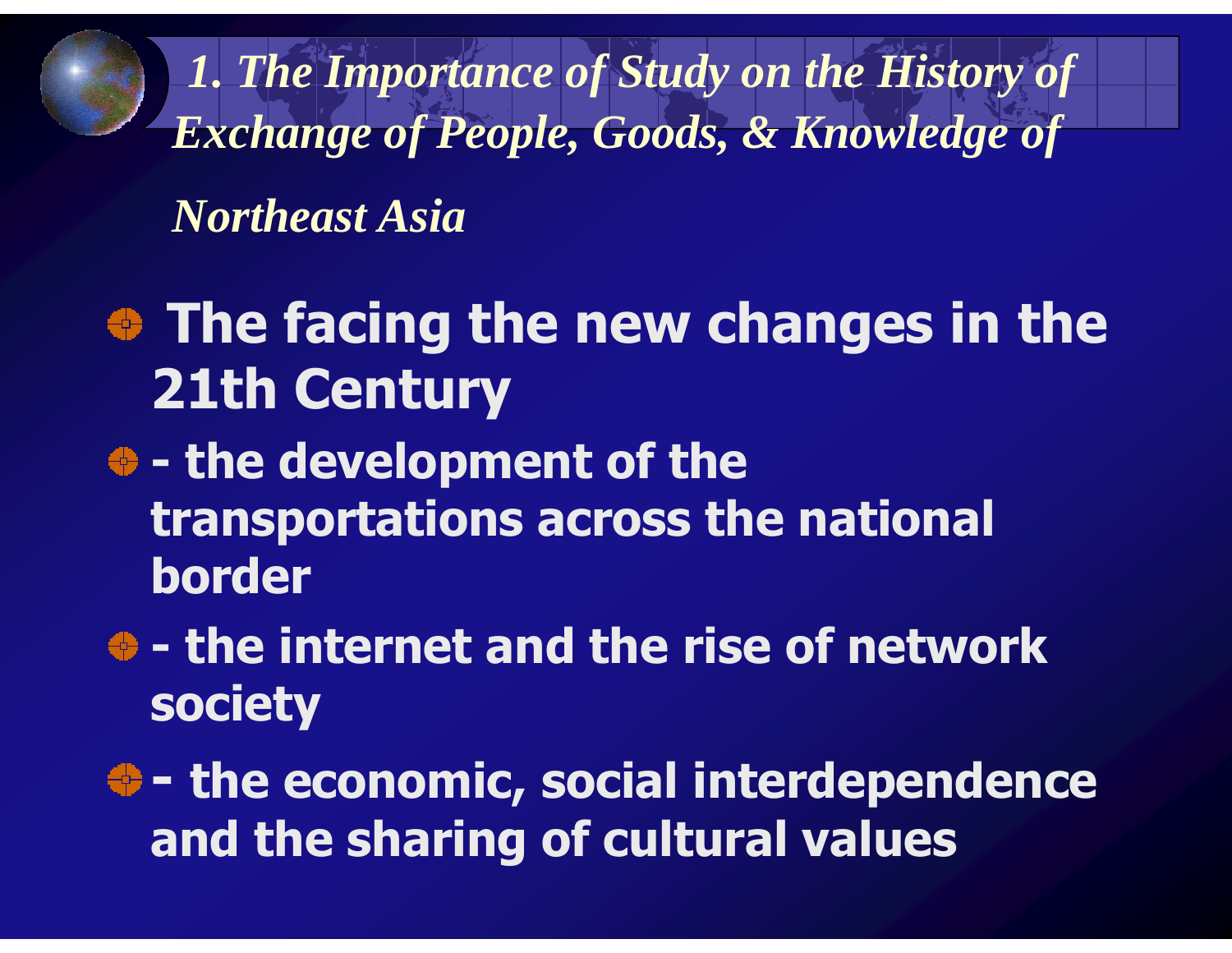*1. The Importance of Study on the History of Exchange of People, Goods, & Knowledge of* 

*Northeast Asia*

- $\bullet$  The facing the new changes in the 21th Century
- the development of the<br>ransnortations across the transportations across the national border
- the internet and the rise of network<br>ociety society
- -- the economic, social interdependence and the sharing of cultural values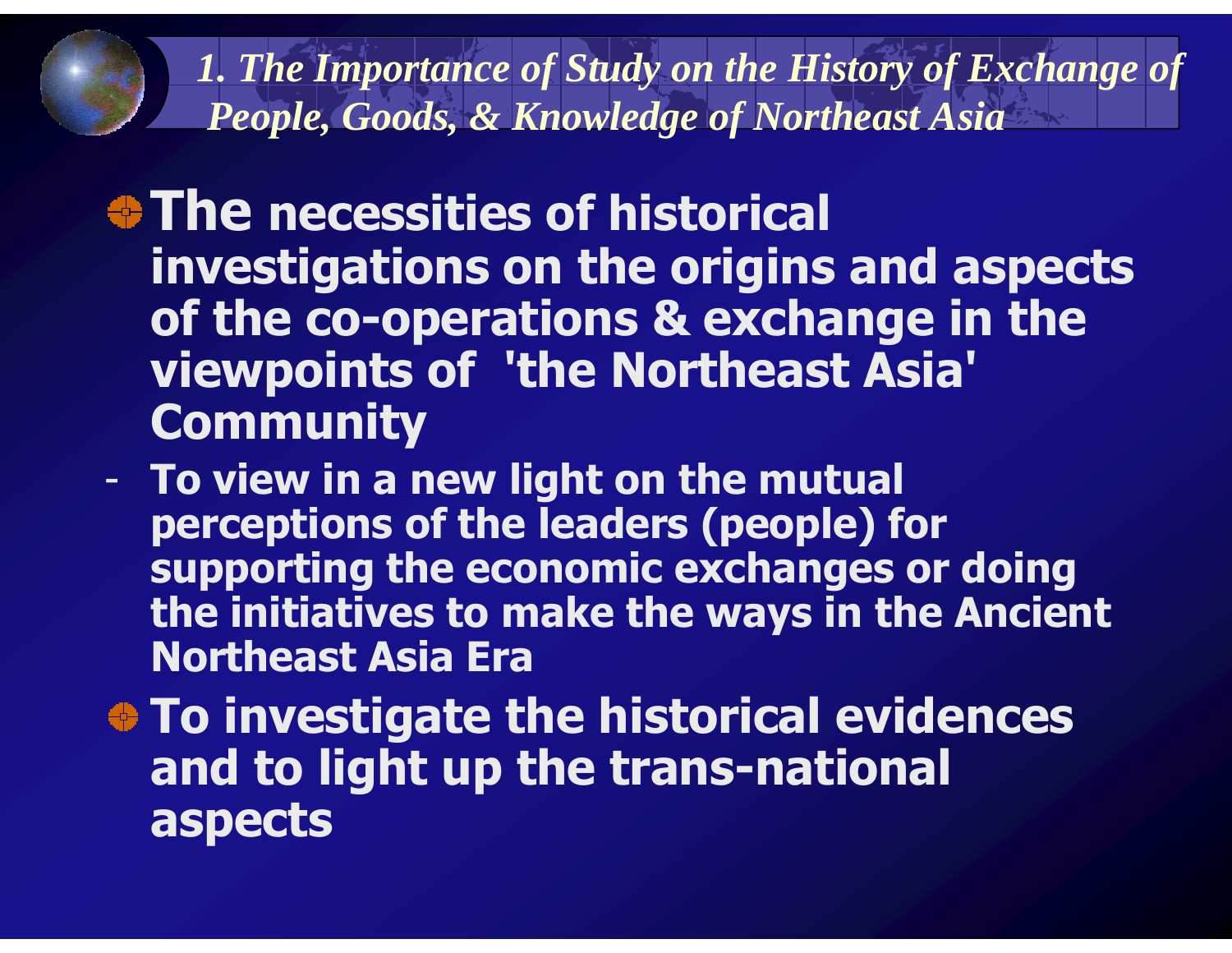*1. The Importance of Study on the History of Exchange ofPeople, Goods, & Knowledge of Northeast Asia*

- $\bullet$  **The necessities of historical**  investigations on the origins and aspects of the co-operations & exchange in the viewpoints of 'the Northeast Asia' Community
- **-**- To view in a new light on the mutual perceptions of the leaders (people) for supporting the economic exchanges or doing the initiatives to make the ways in the Ancient Northeast Asia Era
- To investigate the historical evidences and to light up the trans-national aspects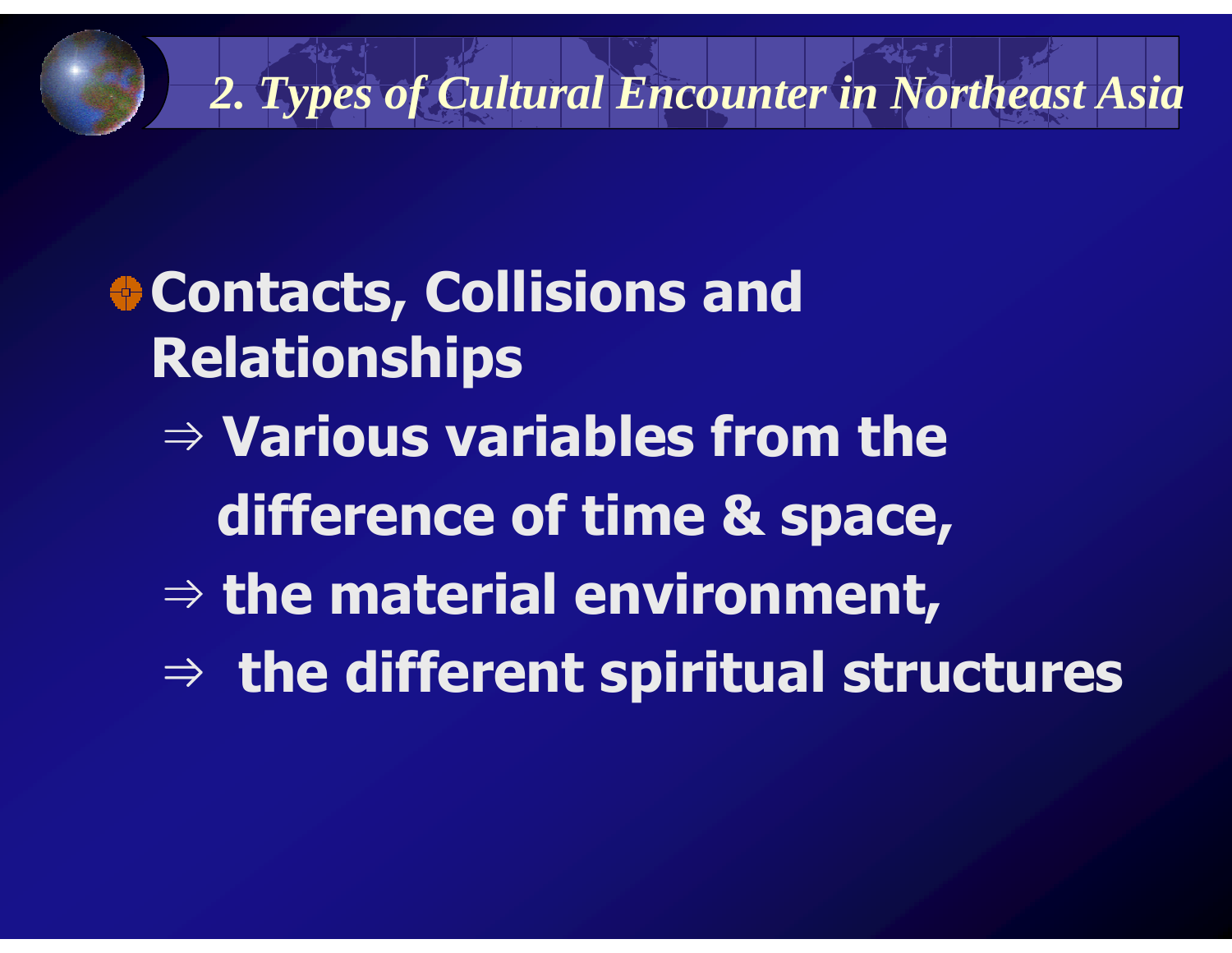#### *2. Types of Cultural Encounter in Northeast Asia*

Contacts, Collisions and Relationships⇒ Various variables from the difference of time & space, ⇒ the material environment, ⇒ the different spiritual structures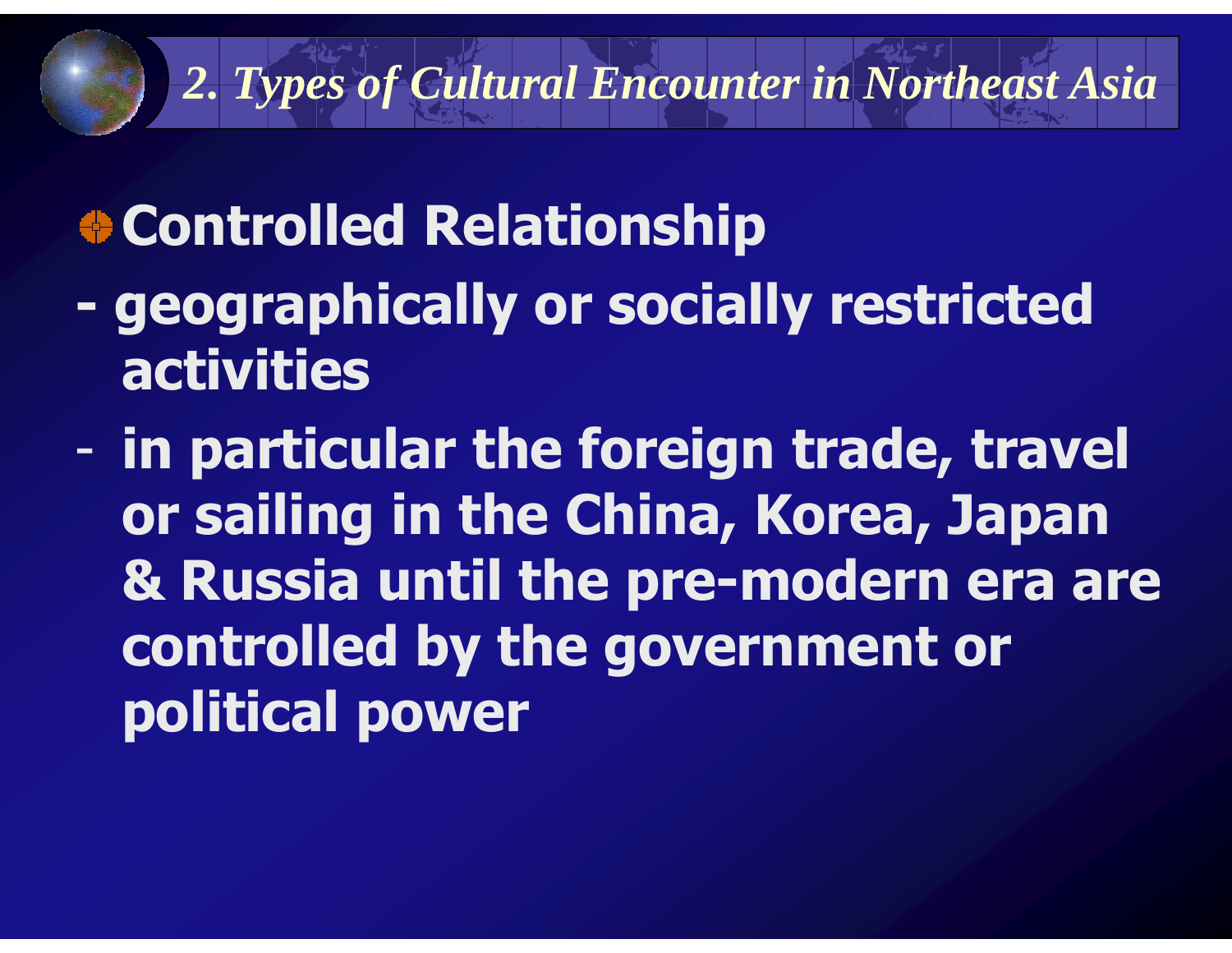#### *2. Types of Cultural Encounter in Northeast Asia*

## Controlled Relationship

- geographically or socially restricted activities
- in particular the foreign trade, travel or sailing in the China, Korea, Japan & Russia until the pre-modern era are controlled by the government or political power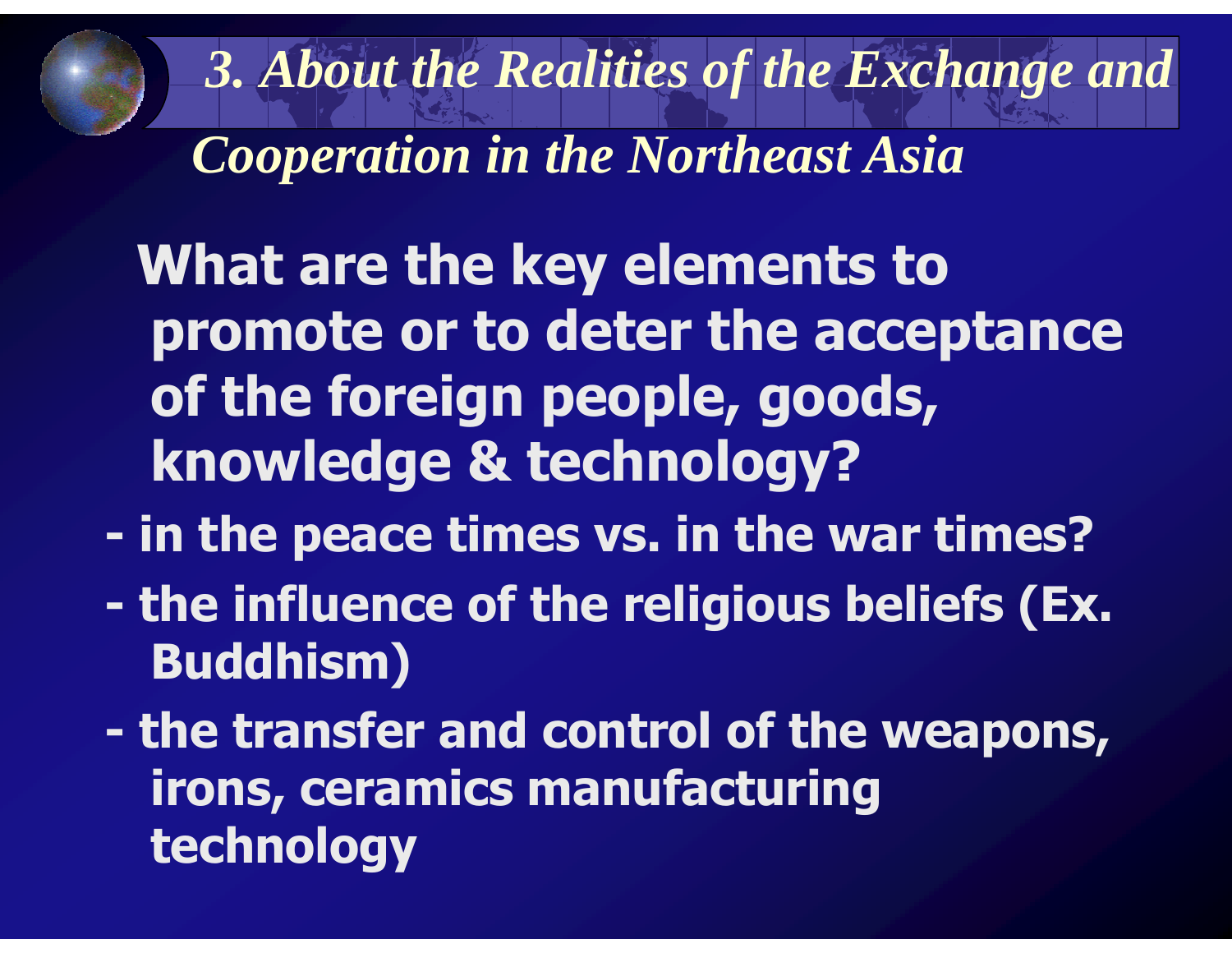*3. About the Realities of the Exchange and* 

*Cooperation in the Northeast Asia*

What are the key elements to promote or to deter the acceptance of the foreign people, goods, knowledge & technology?

- in the peace times vs. in the war times?<br>The influence of the religious heliefs (Ex
- the influence of the religious beliefs (Ex.<br>Ruddhism) Buddhism)
- the transfer and control of the weapons,<br>irons ceramics manufacturing irons, ceramics manufacturing technology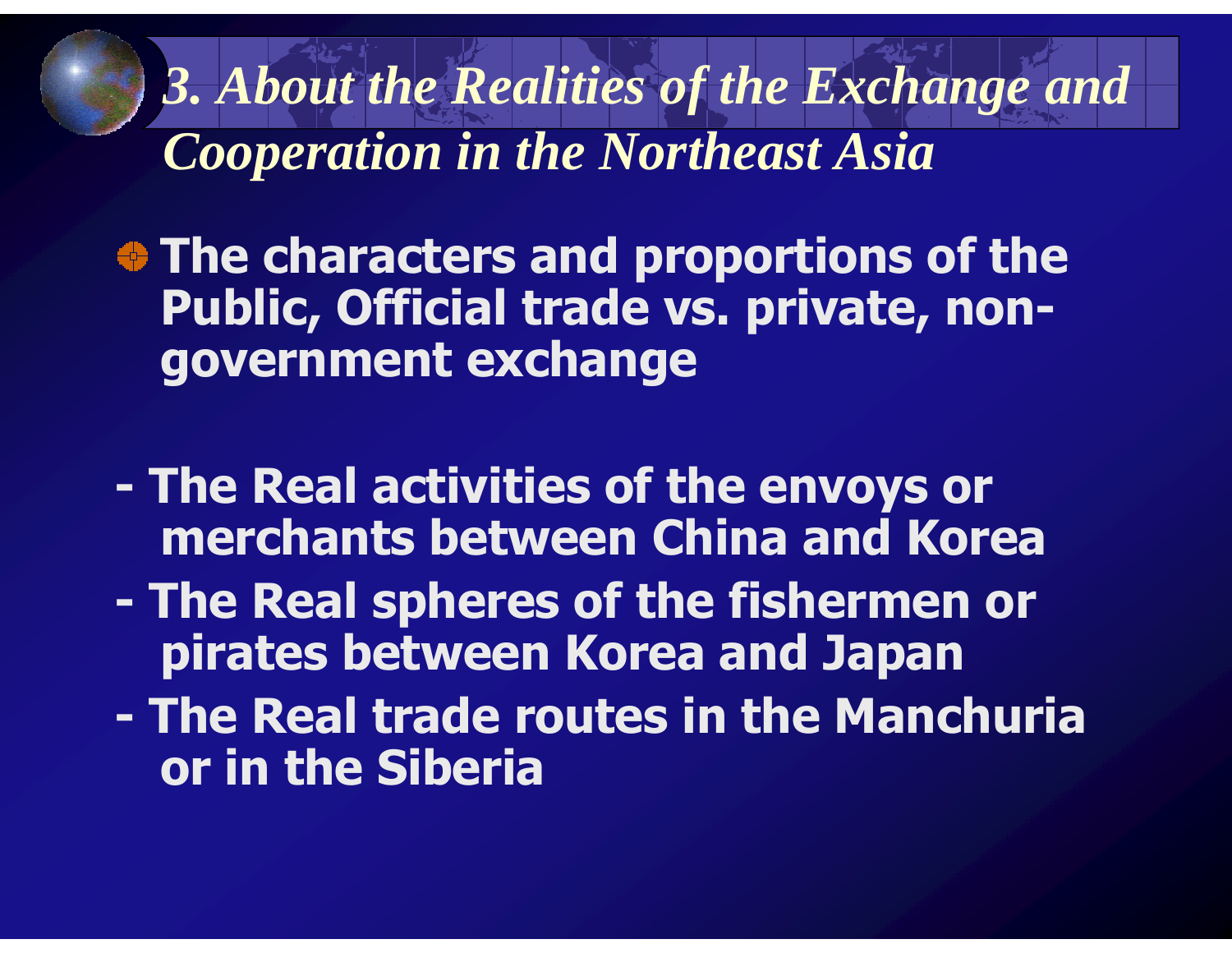*3. About the Realities of the Exchange and Cooperation in the Northeast Asia*

 $\bullet$  **The characters and proportions of the** Public, Official trade vs. private, nongovernment exchange

- The Real activities of the envoys or<br>merchants between China and Kore merchants between China and Korea
- The Real spheres of the fishermen or<br>pirates between Korea and Japan pirates between Korea and Japan
- The Real trade routes in the Manchuria<br>
or in the Siberia or in the Siberia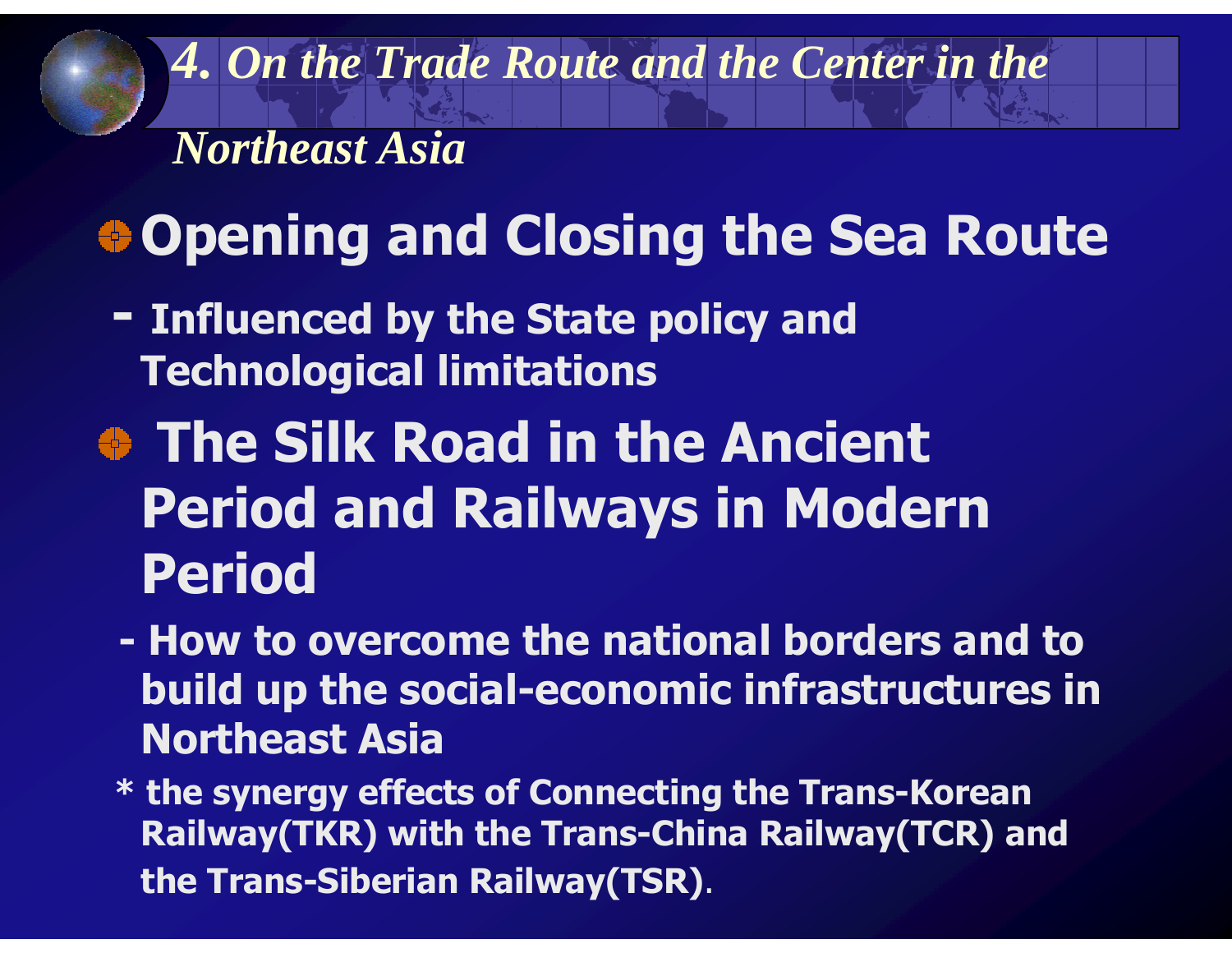*4. On the Trade Route and the Center in the* 

*Northeast Asia*

# Opening and Closing the Sea Route

- Influenced by the State policy and Technological limitations
- The Silk Road in the Ancient Period and Railways in Modern Period
	- -How to overcome the national borders and to<br>huild un the social-economic infrastructures in build up the social-economic infrastructures in Northeast Asia
	- \* the synergy effects of Connecting the Trans-Korean Railway(TKR) with the Trans-China Railway(TCR) and the Trans-Siberian Railway(TSR).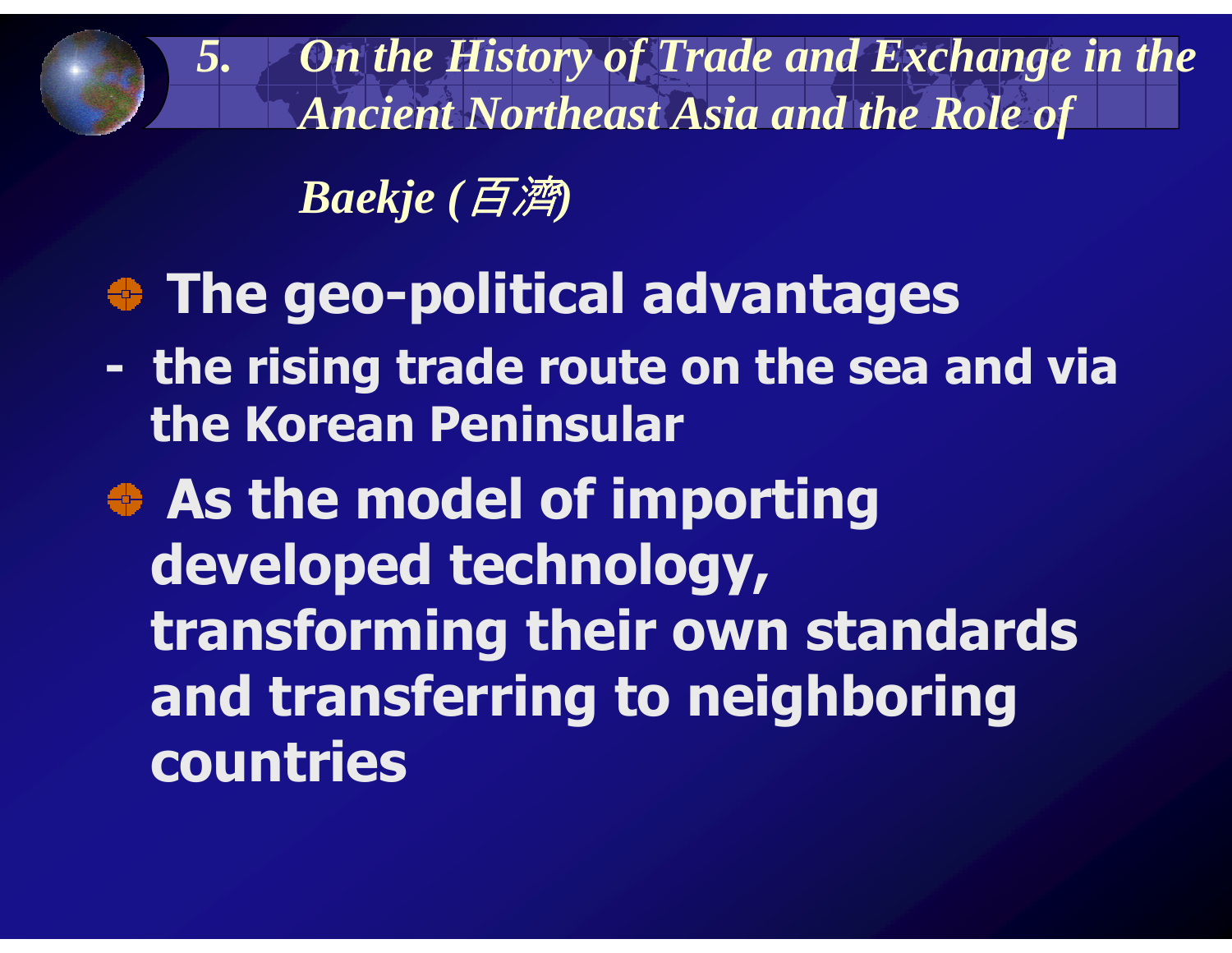*5. On the History of Trade and Exchange in the Ancient Northeast Asia and the Role of* 

*Baekje (*百濟*)*

### The geo-political advantages

the rising trade route on the sea and via<br>the Korean Peninsular the Korean Peninsular

**As the model of importing** developed technology, transforming their own standards and transferring to neighboring countries